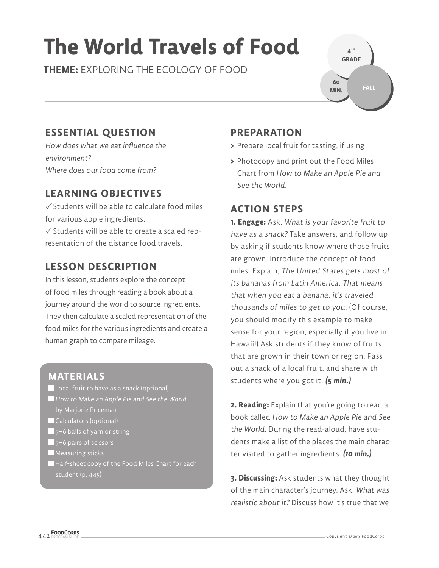# **The World Travels of Food**

**THEME:** EXPLORING THE ECOLOGY OF FOOD



# **ESSENTIAL QUESTION**

How does what we eat influence the environment? Where does our food come from?

# **LEARNING OBJECTIVES**

 $\checkmark$  Students will be able to calculate food miles for various apple ingredients.

 $\checkmark$  Students will be able to create a scaled representation of the distance food travels.

# **LESSON DESCRIPTION**

In this lesson, students explore the concept of food miles through reading a book about a journey around the world to source ingredients. They then calculate a scaled representation of the food miles for the various ingredients and create a human graph to compare mileage.

### **MATERIALS**

- **Local fruit to have as a snack (optional)** How to Make an Apple Pie and See the World
- Calculators (optional)
- 5–6 balls of yarn or string
- $\blacksquare$  5–6 pairs of scissors
- **Measuring sticks**
- Half-sheet copy of the Food Miles Chart for each student (p. 445)

# **PREPARATION**

- **>** Prepare local fruit for tasting, if using
- **>** Photocopy and print out the Food Miles Chart from How to Make an Apple Pie and See the World.

## **ACTION STEPS**

**1. Engage:** Ask, What is your favorite fruit to have as a snack? Take answers, and follow up by asking if students know where those fruits are grown. Introduce the concept of food miles. Explain, The United States gets most of its bananas from Latin America. That means that when you eat a banana, it's traveled thousands of miles to get to you. (Of course, you should modify this example to make sense for your region, especially if you live in Hawaii!) Ask students if they know of fruits that are grown in their town or region. Pass out a snack of a local fruit, and share with students where you got it. **(5 min.)**

**2. Reading:** Explain that you're going to read a book called How to Make an Apple Pie and See the World. During the read-aloud, have students make a list of the places the main character visited to gather ingredients. **(10 min.)**

**3. Discussing:** Ask students what they thought of the main character's journey. Ask, What was realistic about it? Discuss how it's true that we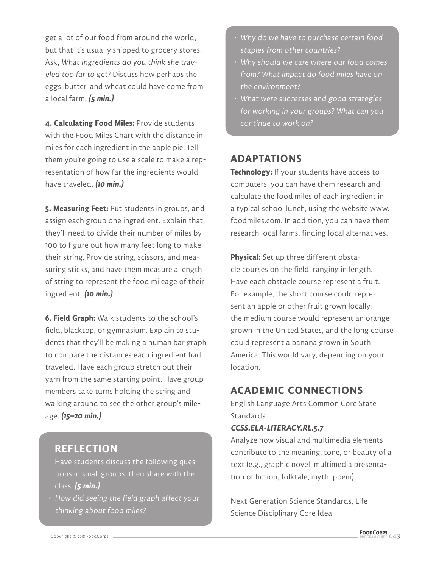get a lot of our food from around the world, but that it's usually shipped to grocery stores. Ask, What ingredients do you think she traveled too far to get? Discuss how perhaps the eggs, butter, and wheat could have come from a local farm. **(5 min.)**

**4. Calculating Food Miles:** Provide students with the Food Miles Chart with the distance in miles for each ingredient in the apple pie. Tell them you're going to use a scale to make a representation of how far the ingredients would have traveled. **(10 min.)**

**5. Measuring Feet:** Put students in groups, and assign each group one ingredient. Explain that they'll need to divide their number of miles by 100 to figure out how many feet long to make their string. Provide string, scissors, and measuring sticks, and have them measure a length of string to represent the food mileage of their ingredient. **(10 min.)**

**6. Field Graph:** Walk students to the school's field, blacktop, or gymnasium. Explain to students that they'll be making a human bar graph to compare the distances each ingredient had traveled. Have each group stretch out their yarn from the same starting point. Have group members take turns holding the string and walking around to see the other group's mileage. **(15–20 min.)**

#### **REFLECTION**

Have students discuss the following questions in small groups, then share with the class: **(5 min.)**

• How did seeing the field graph affect your thinking about food miles?

- Why do we have to purchase certain food staples from other countries?
- Why should we care where our food comes from? What impact do food miles have on the environment?
- What were successes and good strategies for working in your groups? What can you continue to work on?

#### **ADAPTATIONS**

**Technology:** If your students have access to computers, you can have them research and calculate the food miles of each ingredient in a typical school lunch, using the website www. foodmiles.com. In addition, you can have them research local farms, finding local alternatives.

**Physical:** Set up three different obstacle courses on the field, ranging in length. Have each obstacle course represent a fruit. For example, the short course could represent an apple or other fruit grown locally, the medium course would represent an orange grown in the United States, and the long course could represent a banana grown in South America. This would vary, depending on your location.

#### **ACADEMIC CONNECTIONS**

English Language Arts Common Core State **Standards** 

#### **CCSS.ELA-LITERACY.RL.5.7**

Analyze how visual and multimedia elements contribute to the meaning, tone, or beauty of a text (e.g., graphic novel, multimedia presentation of fiction, folktale, myth, poem).

Next Generation Science Standards, Life Science Disciplinary Core Idea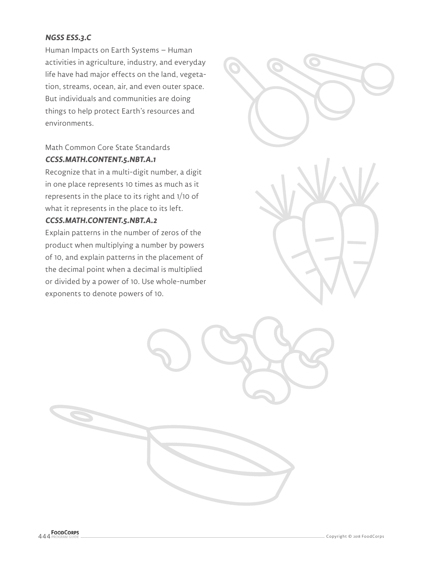#### **NGSS ESS.3.C**

Human Impacts on Earth Systems – Human activities in agriculture, industry, and everyday life have had major effects on the land, vegetation, streams, ocean, air, and even outer space. But individuals and communities are doing things to help protect Earth's resources and environments.

#### Math Common Core State Standards **CCSS.MATH.CONTENT.5.NBT.A.1**

Recognize that in a multi-digit number, a digit in one place represents 10 times as much as it represents in the place to its right and 1/10 of what it represents in the place to its left.

#### **CCSS.MATH.CONTENT.5.NBT.A.2**

Explain patterns in the number of zeros of the product when multiplying a number by powers of 10, and explain patterns in the placement of the decimal point when a decimal is multiplied or divided by a power of 10. Use whole-number exponents to denote powers of 10.